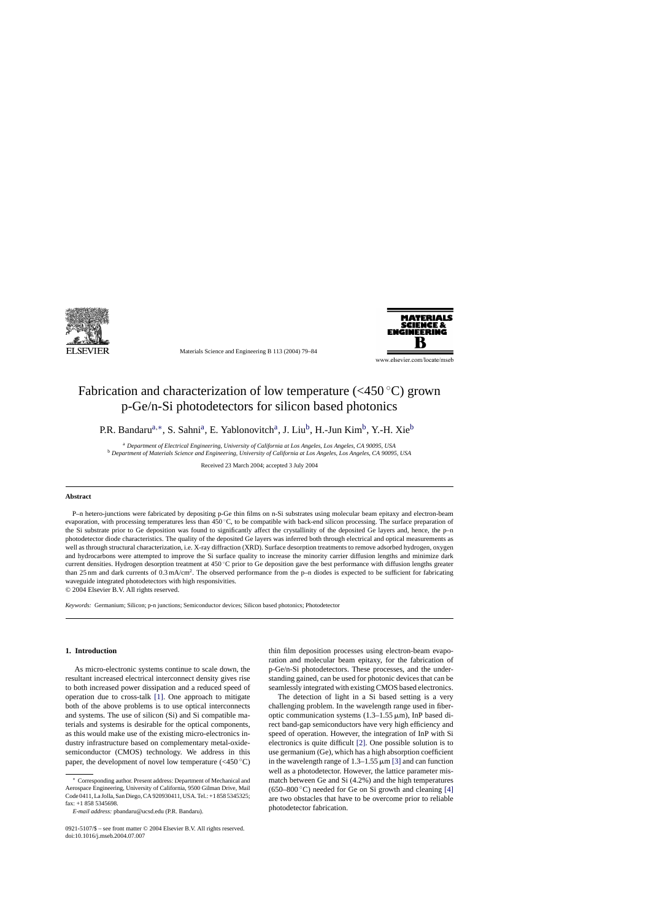

Materials Science and Engineering B 113 (2004) 79–84



www.elsevier.com/locate/mseb

# Fabrication and characterization of low temperature  $(<450 °C)$  grown p-Ge/n-Si photodetectors for silicon based photonics

P.R. Bandaru<sup>a,∗</sup>, S. Sahni<sup>a</sup>, E. Yablonovitch<sup>a</sup>, J. Liu<sup>b</sup>, H.-Jun Kim<sup>b</sup>, Y.-H. Xie<sup>b</sup>

<sup>a</sup> *Department of Electrical Engineering, University of California at Los Angeles, Los Angeles, CA 90095, USA* <sup>b</sup> *Department of Materials Science and Engineering, University of California at Los Angeles, Los Angeles, CA 90095, USA*

Received 23 March 2004; accepted 3 July 2004

## **Abstract**

P–n hetero-junctions were fabricated by depositing p-Ge thin films on n-Si substrates using molecular beam epitaxy and electron-beam evaporation, with processing temperatures less than 450 ℃, to be compatible with back-end silicon processing. The surface preparation of the Si substrate prior to Ge deposition was found to significantly affect the crystallinity of the deposited Ge layers and, hence, the p–n photodetector diode characteristics. The quality of the deposited Ge layers was inferred both through electrical and optical measurements as well as through structural characterization, i.e. X-ray diffraction (XRD). Surface desorption treatments to remove adsorbed hydrogen, oxygen and hydrocarbons were attempted to improve the Si surface quality to increase the minority carrier diffusion lengths and minimize dark current densities. Hydrogen desorption treatment at 450 ◦C prior to Ge deposition gave the best performance with diffusion lengths greater than 25 nm and dark currents of  $0.3 \text{ mA/cm}^2$ . The observed performance from the p–n diodes is expected to be sufficient for fabricating waveguide integrated photodetectors with high responsivities.

© 2004 Elsevier B.V. All rights reserved.

*Keywords:* Germanium; Silicon; p-n junctions; Semiconductor devices; Silicon based photonics; Photodetector

# **1. Introduction**

As micro-electronic systems continue to scale down, the resultant increased electrical interconnect density gives rise to both increased power dissipation and a reduced speed of operation due to cross-talk [\[1\].](#page-5-0) One approach to mitigate both of the above problems is to use optical interconnects and systems. The use of silicon (Si) and Si compatible materials and systems is desirable for the optical components, as this would make use of the existing micro-electronics industry infrastructure based on complementary metal-oxidesemiconductor (CMOS) technology. We address in this paper, the development of novel low temperature  $(<450$  °C)

thin film deposition processes using electron-beam evaporation and molecular beam epitaxy, for the fabrication of p-Ge/n-Si photodetectors. These processes, and the understanding gained, can be used for photonic devices that can be seamlessly integrated with existing CMOS based electronics.

The detection of light in a Si based setting is a very challenging problem. In the wavelength range used in fiberoptic communication systems  $(1.3-1.55 \,\mu\text{m})$ , InP based direct band-gap semiconductors have very high efficiency and speed of operation. However, the integration of InP with Si electronics is quite difficult [\[2\].](#page-5-0) One possible solution is to use germanium (Ge), which has a high absorption coefficient in the wavelength range of  $1.3-1.55 \,\mu\text{m}$  [\[3\]](#page-5-0) and can function well as a photodetector. However, the lattice parameter mismatch between Ge and Si (4.2%) and the high temperatures  $(650-800 \degree C)$  needed for Ge on Si growth and cleaning [\[4\]](#page-5-0) are two obstacles that have to be overcome prior to reliable photodetector fabrication.

<sup>∗</sup> Corresponding author. Present address: Department of Mechanical and Aerospace Engineering, University of California, 9500 Gilman Drive, Mail Code 0411, La Jolla, San Diego, CA 920930411, USA. Tel.: +1 858 5345325; fax: +1 858 5345698.

*E-mail address:* pbandaru@ucsd.edu (P.R. Bandaru).

<sup>0921-5107/\$ –</sup> see front matter © 2004 Elsevier B.V. All rights reserved. doi:10.1016/j.mseb.2004.07.007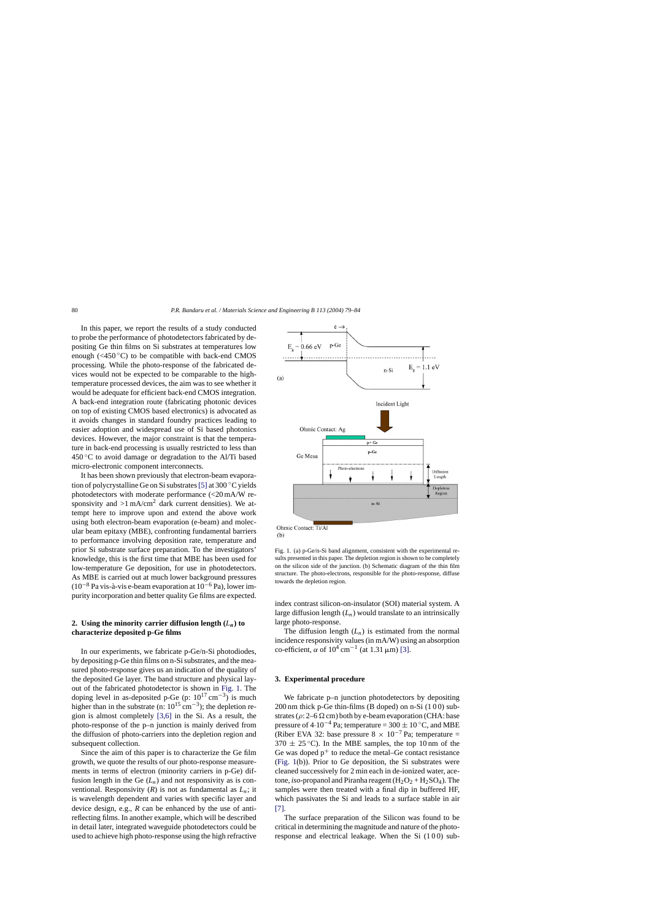<span id="page-1-0"></span>In this paper, we report the results of a study conducted to probe the performance of photodetectors fabricated by depositing Ge thin films on Si substrates at temperatures low enough  $( $450^{\circ}$ C)$  to be compatible with back-end CMOS processing. While the photo-response of the fabricated devices would not be expected to be comparable to the hightemperature processed devices, the aim was to see whether it would be adequate for efficient back-end CMOS integration. A back-end integration route (fabricating photonic devices on top of existing CMOS based electronics) is advocated as it avoids changes in standard foundry practices leading to easier adoption and widespread use of Si based photonics devices. However, the major constraint is that the temperature in back-end processing is usually restricted to less than  $450^{\circ}$ C to avoid damage or degradation to the Al/Ti based micro-electronic component interconnects.

It has been shown previously that electron-beam evaporation of polycrystalline Ge on Si substrates[\[5\]](#page-5-0) at 300 ◦C yields photodetectors with moderate performance (<20 mA/W responsivity and  $>1$  mA/cm<sup>2</sup> dark current densities). We attempt here to improve upon and extend the above work using both electron-beam evaporation (e-beam) and molecular beam epitaxy (MBE), confronting fundamental barriers to performance involving deposition rate, temperature and prior Si substrate surface preparation. To the investigators' knowledge, this is the first time that MBE has been used for low-temperature Ge deposition, for use in photodetectors. As MBE is carried out at much lower background pressures  $(10^{-8}$  Pa vis-à-vis e-beam evaporation at  $10^{-6}$  Pa), lower impurity incorporation and better quality Ge films are expected.

# **2.** Using the minority carrier diffusion length  $(L_n)$  to **characterize deposited p-Ge films**

In our experiments, we fabricate p-Ge/n-Si photodiodes, by depositing p-Ge thin films on n-Si substrates, and the measured photo-response gives us an indication of the quality of the deposited Ge layer. The band structure and physical layout of the fabricated photodetector is shown in Fig. 1. The doping level in as-deposited p-Ge (p:  $10^{17}$  cm<sup>-3</sup>) is much higher than in the substrate (n:  $10^{15}$  cm<sup>-3</sup>); the depletion region is almost completely [\[3,6\]](#page-5-0) in the Si. As a result, the photo-response of the p–n junction is mainly derived from the diffusion of photo-carriers into the depletion region and subsequent collection.

Since the aim of this paper is to characterize the Ge film growth, we quote the results of our photo-response measurements in terms of electron (minority carriers in p-Ge) diffusion length in the Ge  $(L_n)$  and not responsivity as is conventional. Responsivity  $(R)$  is not as fundamental as  $L_n$ ; it is wavelength dependent and varies with specific layer and device design, e.g., *R* can be enhanced by the use of antireflecting films. In another example, which will be described in detail later, integrated waveguide photodetectors could be used to achieve high photo-response using the high refractive



Ohmic Contact: Ti/Al  $(b)$ 

Fig. 1. (a) p-Ge/n-Si band alignment, consistent with the experimental results presented in this paper. The depletion region is shown to be completely on the silicon side of the junction. (b) Schematic diagram of the thin film structure. The photo-electrons, responsible for the photo-response, diffuse towards the depletion region.

index contrast silicon-on-insulator (SOI) material system. A large diffusion length  $(L_n)$  would translate to an intrinsically large photo-response.

The diffusion length  $(L_n)$  is estimated from the normal incidence responsivity values (in mA/W) using an absorption co-efficient,  $\alpha$  of  $10^4$  cm<sup>-1</sup> (at 1.31 µm) [\[3\].](#page-5-0)

## **3. Experimental procedure**

We fabricate p–n junction photodetectors by depositing 200 nm thick p-Ge thin-films (B doped) on n-Si (1 0 0) substrates ( $\rho$ : 2–6  $\Omega$  cm) both by e-beam evaporation (CHA: base pressure of  $4.10^{-4}$  Pa; temperature = 300  $\pm$  10 °C, and MBE (Riber EVA 32: base pressure 8  $\times$  10<sup>-7</sup> Pa; temperature =  $370 \pm 25$  °C). In the MBE samples, the top 10 nm of the Ge was doped  $p^+$  to reduce the metal–Ge contact resistance (Fig. 1(b)). Prior to Ge deposition, the Si substrates were cleaned successively for 2 min each in de-ionized water, acetone, *iso*-propanol and Piranha reagent  $(H_2O_2 + H_2SO_4)$ . The samples were then treated with a final dip in buffered HF, which passivates the Si and leads to a surface stable in air [\[7\].](#page-5-0)

The surface preparation of the Silicon was found to be critical in determining the magnitude and nature of the photoresponse and electrical leakage. When the Si (100) sub-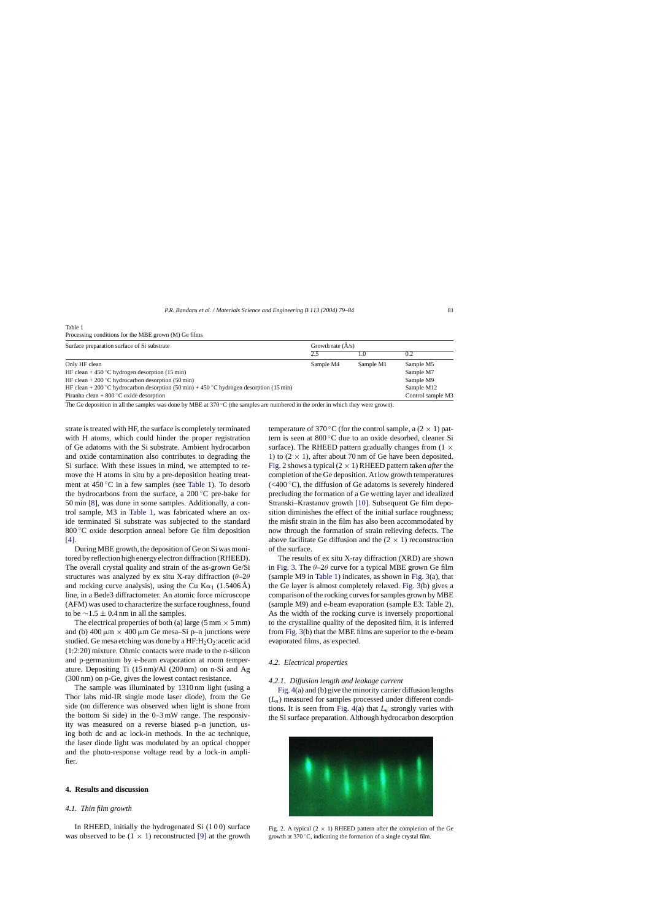<span id="page-2-0"></span>Table 1

Processing conditions for the MBE grown (M) Ge films

| Surface preparation surface of Si substrate                                                                 | Growth rate $(\check{A}/s)$ |           |                   |
|-------------------------------------------------------------------------------------------------------------|-----------------------------|-----------|-------------------|
|                                                                                                             | 2.5                         |           | 0.2               |
| Only HF clean                                                                                               | Sample M4                   | Sample M1 | Sample M5         |
| HF clean + 450 °C hydrogen desorption (15 min)                                                              |                             |           | Sample M7         |
| HF clean + 200 °C hydrocarbon desorption (50 min)                                                           |                             |           | Sample M9         |
| HF clean + 200 °C hydrocarbon desorption $(50 \text{ min}) + 450$ °C hydrogen desorption $(15 \text{ min})$ |                             |           | Sample M12        |
| Piranha clean + $800^{\circ}$ C oxide desorption                                                            |                             |           | Control sample M3 |

The Ge deposition in all the samples was done by MBE at 370 °C (the samples are numbered in the order in which they were grown).

strate is treated with HF, the surface is completely terminated with H atoms, which could hinder the proper registration of Ge adatoms with the Si substrate. Ambient hydrocarbon and oxide contamination also contributes to degrading the Si surface. With these issues in mind, we attempted to remove the H atoms in situ by a pre-deposition heating treatment at  $450\degree$ C in a few samples (see Table 1). To desorb the hydrocarbons from the surface, a 200 ◦C pre-bake for 50 min [\[8\],](#page-5-0) was done in some samples. Additionally, a control sample, M3 in Table 1, was fabricated where an oxide terminated Si substrate was subjected to the standard 800 °C oxide desorption anneal before Ge film deposition [\[4\].](#page-5-0)

During MBE growth, the deposition of Ge on Si was monitored by reflection high energy electron diffraction (RHEED). The overall crystal quality and strain of the as-grown Ge/Si structures was analyzed by ex situ X-ray diffraction ( $\theta$ -2 $\theta$ and rocking curve analysis), using the Cu K $\alpha_1$  (1.5406 Å) line, in a Bede3 diffractometer. An atomic force microscope (AFM) was used to characterize the surface roughness, found to be  $\sim$ 1.5 ± 0.4 nm in all the samples.

The electrical properties of both (a) large (5 mm  $\times$  5 mm) and (b) 400  $\mu$ m  $\times$  400  $\mu$ m Ge mesa–Si p–n junctions were studied. Ge mesa etching was done by a  $HF: H_2O_2$ : acetic acid (1:2:20) mixture. Ohmic contacts were made to the n-silicon and p-germanium by e-beam evaporation at room temperature. Depositing Ti (15 nm)/Al (200 nm) on n-Si and Ag (300 nm) on p-Ge, gives the lowest contact resistance.

The sample was illuminated by 1310 nm light (using a Thor labs mid-IR single mode laser diode), from the Ge side (no difference was observed when light is shone from the bottom Si side) in the 0–3 mW range. The responsivity was measured on a reverse biased p–n junction, using both dc and ac lock-in methods. In the ac technique, the laser diode light was modulated by an optical chopper and the photo-response voltage read by a lock-in amplifier.

## **4. Results and discussion**

## *4.1. Thin film growth*

In RHEED, initially the hydrogenated Si (1 0 0) surface was observed to be  $(1 \times 1)$  reconstructed [\[9\]](#page-5-0) at the growth

temperature of 370 °C (for the control sample, a  $(2 \times 1)$  pattern is seen at 800 ◦C due to an oxide desorbed, cleaner Si surface). The RHEED pattern gradually changes from  $(1 \times$ 1) to  $(2 \times 1)$ , after about 70 nm of Ge have been deposited. Fig. 2 shows a typical  $(2 \times 1)$  RHEED pattern taken *after* the completion of the Ge deposition. At low growth temperatures  $(< 400 °C)$ , the diffusion of Ge adatoms is severely hindered precluding the formation of a Ge wetting layer and idealized Stranski–Krastanov growth [\[10\].](#page-5-0) Subsequent Ge film deposition diminishes the effect of the initial surface roughness; the misfit strain in the film has also been accommodated by now through the formation of strain relieving defects. The above facilitate Ge diffusion and the  $(2 \times 1)$  reconstruction of the surface.

The results of ex situ X-ray diffraction (XRD) are shown in [Fig. 3.](#page-3-0) The  $\theta$ -2 $\theta$  curve for a typical MBE grown Ge film (sample M9 in Table 1) indicates, as shown in [Fig. 3\(a](#page-3-0)), that the Ge layer is almost completely relaxed. [Fig. 3\(b](#page-3-0)) gives a comparison of the rocking curves for samples grown by MBE (sample M9) and e-beam evaporation (sample E3: Table 2). As the width of the rocking curve is inversely proportional to the crystalline quality of the deposited film, it is inferred from [Fig. 3\(b](#page-3-0)) that the MBE films are superior to the e-beam evaporated films, as expected.

## *4.2. Electrical properties*

#### *4.2.1. Diffusion length and leakage current*

[Fig. 4\(a](#page-3-0)) and (b) give the minority carrier diffusion lengths (*L*n) measured for samples processed under different conditions. It is seen from [Fig. 4\(a](#page-3-0)) that *L*<sup>n</sup> strongly varies with the Si surface preparation. Although hydrocarbon desorption



Fig. 2. A typical  $(2 \times 1)$  RHEED pattern after the completion of the Ge growth at 370 ◦C, indicating the formation of a single crystal film.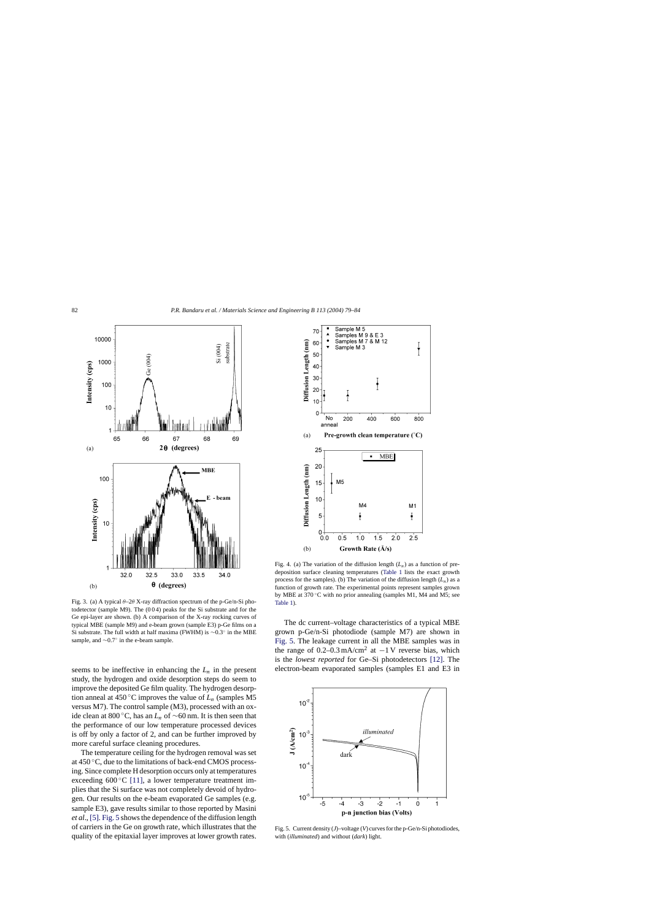<span id="page-3-0"></span>

Fig. 3. (a) A typical  $\theta$ –2 $\theta$ X-ray diffraction spectrum of the p-Ge/n-Si photodetector (sample M9). The (0 0 4) peaks for the Si substrate and for the Ge epi-layer are shown. (b) A comparison of the X-ray rocking curves of typical MBE (sample M9) and e-beam grown (sample E3) p-Ge films on a Si substrate. The full width at half maxima (FWHM) is ∼0.3◦ in the MBE sample, and ∼0.7° in the e-beam sample.

seems to be ineffective in enhancing the  $L_n$  in the present study, the hydrogen and oxide desorption steps do seem to improve the deposited Ge film quality. The hydrogen desorption anneal at 450 °C improves the value of  $L_n$  (samples M5) versus M7). The control sample (M3), processed with an oxide clean at 800 °C, has an  $L_n$  of ∼60 nm. It is then seen that the performance of our low temperature processed devices is off by only a factor of 2, and can be further improved by more careful surface cleaning procedures.

The temperature ceiling for the hydrogen removal was set at 450 ◦C, due to the limitations of back-end CMOS processing. Since complete H desorption occurs only at temperatures exceeding  $600\,^{\circ}\text{C}$  [\[11\],](#page-5-0) a lower temperature treatment implies that the Si surface was not completely devoid of hydrogen. Our results on the e-beam evaporated Ge samples (e.g. sample E3), gave results similar to those reported by Masini *et al*., [\[5\].](#page-5-0) Fig. 5 shows the dependence of the diffusion length of carriers in the Ge on growth rate, which illustrates that the quality of the epitaxial layer improves at lower growth rates.



Fig. 4. (a) The variation of the diffusion length  $(L_n)$  as a function of predeposition surface cleaning temperatures ([Table 1](#page-2-0) lists the exact growth process for the samples). (b) The variation of the diffusion length  $(L_n)$  as a function of growth rate. The experimental points represent samples grown by MBE at 370 ◦C with no prior annealing (samples M1, M4 and M5; see [Table 1\).](#page-2-0)

The dc current–voltage characteristics of a typical MBE grown p-Ge/n-Si photodiode (sample M7) are shown in Fig. 5. The leakage current in all the MBE samples was in the range of  $0.2-0.3$  mA/cm<sup>2</sup> at  $-1$  V reverse bias, which is the *lowest reported* for Ge–Si photodetectors [\[12\].](#page-5-0) The electron-beam evaporated samples (samples E1 and E3 in



Fig. 5. Current density (*J*)–voltage (*V*) curves for the p-Ge/n-Si photodiodes, with (*illuminated*) and without (*dark*) light.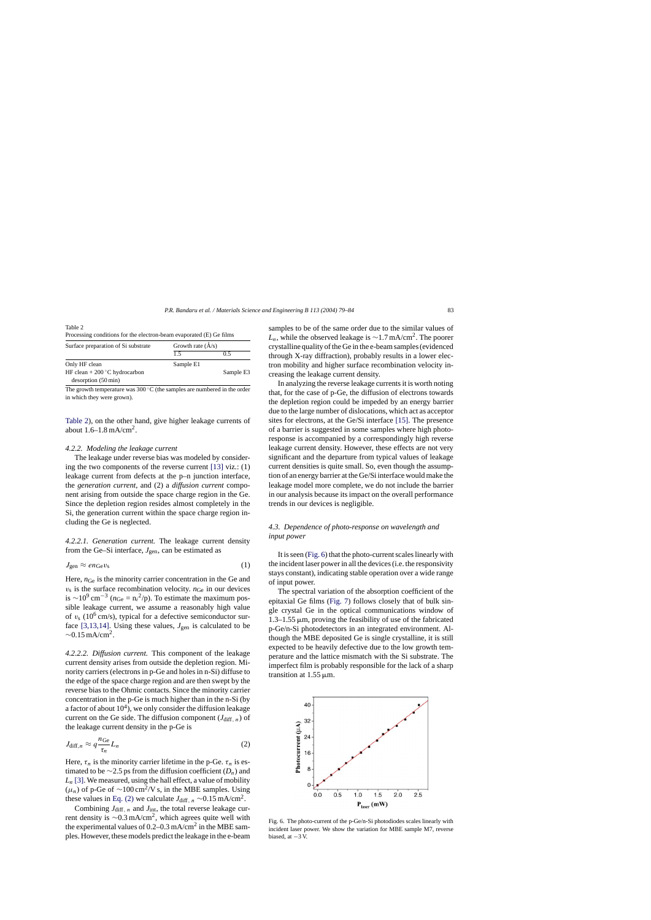Table 2

Processing conditions for the electron-beam evaporated (E) Ge films

| Surface preparation of Si substrate | Growth rate $(\AA/s)$ |           |  |
|-------------------------------------|-----------------------|-----------|--|
|                                     | 1.5                   | 0.5       |  |
| Only HF clean                       | Sample E1             |           |  |
| HF clean $+ 200$ °C hydrocarbon     |                       | Sample E3 |  |
| desorption (50 min)                 |                       |           |  |

The growth temperature was 300 ◦C (the samples are numbered in the order in which they were grown).

Table 2), on the other hand, give higher leakage currents of about  $1.6-1.8$  mA/cm<sup>2</sup>.

# *4.2.2. Modeling the leakage current*

The leakage under reverse bias was modeled by considering the two components of the reverse current [\[13\]](#page-5-0) viz.: (1) leakage current from defects at the p–n junction interface, the *generation current*, and (2) a *diffusion current* component arising from outside the space charge region in the Ge. Since the depletion region resides almost completely in the Si, the generation current within the space charge region including the Ge is neglected.

*4.2.2.1. Generation current.* The leakage current density from the Ge–Si interface,  $J_{gen}$ , can be estimated as

$$
J_{\rm gen} \approx en_{\rm Ge} v_{\rm s} \tag{1}
$$

Here,  $n_{\text{Ge}}$  is the minority carrier concentration in the Ge and  $v<sub>s</sub>$  is the surface recombination velocity.  $n_{Ge}$  in our devices is  $\sim$ 10<sup>9</sup> cm<sup>-3</sup> ( $n_{\text{Ge}} = n_i^2$ /p). To estimate the maximum possible leakage current, we assume a reasonably high value of  $v_s$  (10<sup>6</sup> cm/s), typical for a defective semiconductor sur-face [\[3,13,14\].](#page-5-0) Using these values,  $J_{gen}$  is calculated to be  $\sim$ 0.15 mA/cm<sup>2</sup>.

*4.2.2.2. Diffusion current.* This component of the leakage current density arises from outside the depletion region. Minority carriers (electrons in p-Ge and holes in n-Si) diffuse to the edge of the space charge region and are then swept by the reverse bias to the Ohmic contacts. Since the minority carrier concentration in the p-Ge is much higher than in the n-Si (by a factor of about  $10<sup>4</sup>$ ), we only consider the diffusion leakage current on the Ge side. The diffusion component  $(J_{\text{diff}, n})$  of the leakage current density in the p-Ge is

$$
J_{\text{diff},n} \approx q \frac{n_{\text{Ge}}}{\tau_n} L_n \tag{2}
$$

Here,  $\tau_n$  is the minority carrier lifetime in the p-Ge.  $\tau_n$  is estimated to be  $\sim$ 2.5 ps from the diffusion coefficient ( $D_n$ ) and  $L_n$  [\[3\]. W](#page-5-0)e measured, using the hall effect, a value of mobility  $(\mu_n)$  of p-Ge of ~100 cm<sup>2</sup>/V s, in the MBE samples. Using these values in Eq. (2) we calculate  $J_{\text{diff}, n} \sim 0.15 \text{ mA/cm}^2$ .

Combining  $J_{\text{diff}, n}$  and  $J_{\text{int}}$ , the total reverse leakage current density is <sup>∼</sup>0.3 mA/cm2, which agrees quite well with the experimental values of  $0.2{\text -}0.3$  mA/cm<sup>2</sup> in the MBE samples. However, these models predict the leakage in the e-beam samples to be of the same order due to the similar values of  $L_n$ , while the observed leakage is ~1.7 mA/cm<sup>2</sup>. The poorer crystalline quality of the Ge in the e-beam samples (evidenced through X-ray diffraction), probably results in a lower electron mobility and higher surface recombination velocity increasing the leakage current density.

In analyzing the reverse leakage currents it is worth noting that, for the case of p-Ge, the diffusion of electrons towards the depletion region could be impeded by an energy barrier due to the large number of dislocations, which act as acceptor sites for electrons, at the Ge/Si interface [\[15\].](#page-5-0) The presence of a barrier is suggested in some samples where high photoresponse is accompanied by a correspondingly high reverse leakage current density. However, these effects are not very significant and the departure from typical values of leakage current densities is quite small. So, even though the assumption of an energy barrier at the Ge/Si interface would make the leakage model more complete, we do not include the barrier in our analysis because its impact on the overall performance trends in our devices is negligible.

# *4.3. Dependence of photo-response on wavelength and input power*

It is seen (Fig. 6) that the photo-current scales linearly with the incident laser power in all the devices (i.e. the responsivity stays constant), indicating stable operation over a wide range of input power.

The spectral variation of the absorption coefficient of the epitaxial Ge films ([Fig. 7\)](#page-5-0) follows closely that of bulk single crystal Ge in the optical communications window of  $1.3-1.55 \,\mu m$ , proving the feasibility of use of the fabricated p-Ge/n-Si photodetectors in an integrated environment. Although the MBE deposited Ge is single crystalline, it is still expected to be heavily defective due to the low growth temperature and the lattice mismatch with the Si substrate. The imperfect film is probably responsible for the lack of a sharp transition at  $1.55 \mu m$ .



Fig. 6. The photo-current of the p-Ge/n-Si photodiodes scales linearly with incident laser power. We show the variation for MBE sample M7, reverse biased, at −3 V.